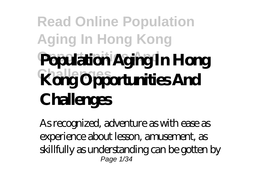## **Read Online Population Aging In Hong Kong Population Aging In Hong Kong Opportunities And Challenges**

As recognized, adventure as with ease as experience about lesson, amusement, as skillfully as understanding can be gotten by Page 1/34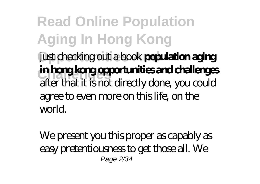**Read Online Population Aging In Hong Kong Opportunities And** just checking out a book **population aging Challenges in hong kong opportunities and challenges** after that it is not directly done, you could agree to even more on this life, on the world.

We present you this proper as capably as easy pretentiousness to get those all. We Page 2/34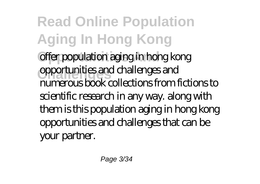**Read Online Population Aging In Hong Kong** offer population aging in hong kong **Challenges** opportunities and challenges and numerous book collections from fictions to scientific research in any way. along with them is this population aging in hong kong opportunities and challenges that can be your partner.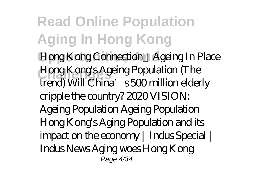**Read Online Population Aging In Hong Kong Hong Kong Connection:** Ageing In Place **Challenges** *Hong Kong's Ageing Population (The trend) Will China's 500 million elderly cripple the country? 2020 VISION: Ageing Population Ageing Population Hong Kong's Aging Population and its impact on the economy | Indus Special | Indus News Aging woes* Hong Kong Page 4/34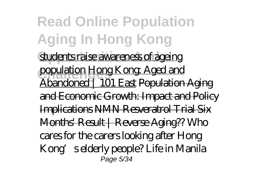**Read Online Population Aging In Hong Kong** students raise awareness of ageing population Hong Kong: Aged and Abandoned | 101 East Population Aging and Economic Growth: Impact and Policy Implications NMN Resveratrol Trial Six Months' Result | Reverse Aging?? *Who cares for the carers looking after Hong Kong's elderly people? Life in Manila* Page 5/34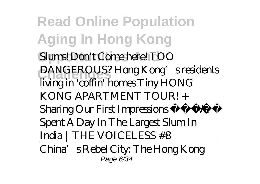**Read Online Population Aging In Hong Kong**  $Slums!$  *Don't Come here! TOO* **Challenges** *DANGEROUS? Hong Kong's residents living in 'coffin' homes Tiny HONG KONG APARTMENT TOUR! + Sharing Our First Impressions We Spent A Day In The Largest Slum In India | THE VOICELESS #8*

China's Rebel City: The Hong Kong Page 6/34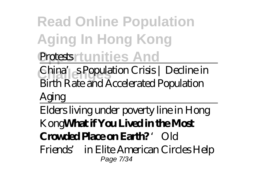**Read Online Population Aging In Hong Kong Protestsrtunities And** 

**Challenges** China's Population Crisis | Decline in Birth Rate and Accelerated Population

Aging

Elders living under poverty line in Hong Kong**What if You Lived in the Most Crowded Place on Earth?** *'Old*

*Friends' in Elite American Circles Help* Page 7/34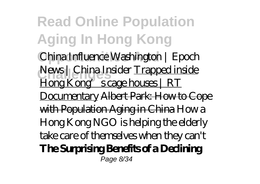**Read Online Population Aging In Hong Kong Opportunities And** *China Influence Washington | Epoch* **Challenges** *News | China Insider* Trapped inside Hong Kong's cage houses | RT Documentary Albert Park: How to Cope with Population Aging in China How a Hong Kong NGO is helping the elderly take care of themselves when they can't **The Surprising Benefits of a Declining** Page 8/34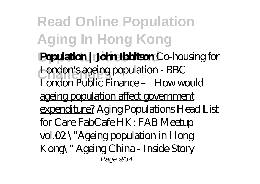**Read Online Population Aging In Hong Kong Population | John Ibbitson** Co-housing for London's ageing population - BBC London Public Finance – How would ageing population affect government expenditure? *Aging Populations Head List for Care FabCafe HK: FAB Meetup vol.02 \"Ageing population in Hong Kong\"* Ageing China - Inside Story Page 9/34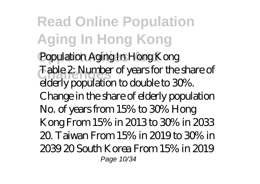**Read Online Population Aging In Hong Kong** Population Aging In Hong Kong **Challenges** Table 2: Number of years for the share of elderly population to double to 30%. Change in the share of elderly population No. of years from 15% to 30% Hong Kong From 15% in 2013 to 30% in 2033 20. Taiwan From 15% in 2019 to 30% in 2039 20 South Korea From 15% in 2019 Page 10/34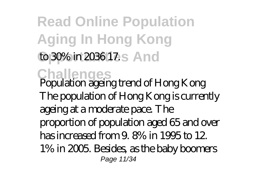**Read Online Population Aging In Hong Kong** to 30% in 2036 17.<sub>S</sub> And **Challenges** Population ageing trend of Hong Kong The population of Hong Kong is currently ageing at a moderate pace. The proportion of population aged 65 and over has increased from 9. 8% in 1995 to 12. 1% in 2005. Besides, as the baby boomers Page 11/34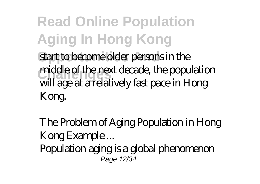**Read Online Population Aging In Hong Kong** start to become older persons in the middle of the next decade, the population will age at a relatively fast pace in Hong Kong.

The Problem of Aging Population in Hong Kong Example ... Population aging is a global phenomenon Page 12/34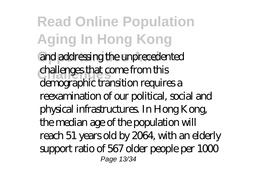**Read Online Population Aging In Hong Kong** and addressing the unprecedented **Challenges** challenges that come from this demographic transition requires a reexamination of our political, social and physical infrastructures. In Hong Kong, the median age of the population will reach 51 years old by 2064, with an elderly support ratio of 567 older people per 1000 Page 13/34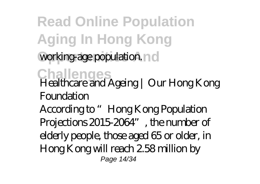**Read Online Population Aging In Hong Kong** working-age population. no **Challenges** Healthcare and Ageing | Our Hong Kong **Foundation** According to "Hong Kong Population Projections 2015-2064", the number of elderly people, those aged 65 or older, in Hong Kong will reach 2.58 million by Page 14/34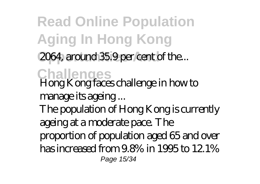**Read Online Population Aging In Hong Kong** 2064, around 35.9 per cent of the... **Challenges** Hong Kong faces challenge in how to manage its ageing ... The population of Hong Kong is currently ageing at a moderate pace. The proportion of population aged 65 and over has increased from 9.8% in 1995 to 12.1% Page 15/34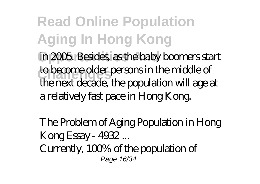**Read Online Population Aging In Hong Kong** in 2005. Besides, as the baby boomers start **Challenges** to become older persons in the middle of the next decade, the population will age at a relatively fast pace in Hong Kong.

The Problem of Aging Population in Hong Kong Essay - 4932 ... Currently, 100% of the population of Page 16/34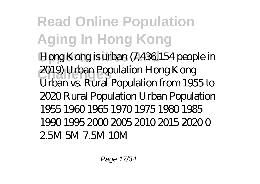**Read Online Population Aging In Hong Kong** Hong Kong is urban (7,436,154 people in **Challenges** 2019) Urban Population Hong Kong Urban vs. Rural Population from 1955 to 2020 Rural Population Urban Population 1955 1960 1965 1970 1975 1980 1985 1990 1995 2000 2005 2010 2015 2020 0 2.5M 5M 7.5M 10M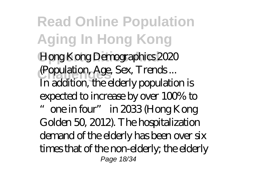**Read Online Population Aging In Hong Kong** Hong Kong Demographics 2020 **Challenges** (Population, Age, Sex, Trends ... In addition, the elderly population is expected to increase by over 100% to "one in four" in 2033 (Hong Kong Golden 50, 2012). The hospitalization demand of the elderly has been over six times that of the non-elderly; the elderly Page 18/34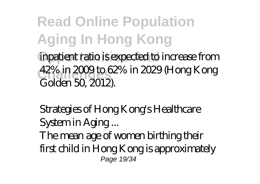**Read Online Population Aging In Hong Kong** inpatient ratio is expected to increase from **Challenges** 42% in 2009 to 62% in 2029 (Hong Kong Golden 50, 2012).

Strategies of Hong Kong's Healthcare System in Aging ...

The mean age of women birthing their first child in Hong Kong is approximately Page 19/34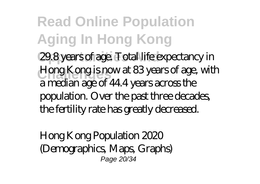**Read Online Population Aging In Hong Kong** 29.8 years of age. Total life expectancy in **Hong Kong is now at 83 years of age, with** a median age of 44.4 years across the population. Over the past three decades, the fertility rate has greatly decreased.

Hong Kong Population 2020 (Demographics, Maps, Graphs) Page 20/34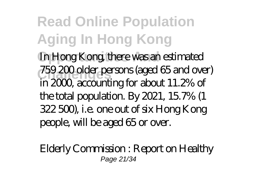**Read Online Population Aging In Hong Kong** In Hong Kong, there was an estimated **Challenges** 759 200 older persons (aged 65 and over) in 2000, accounting for about 11.2% of the total population. By 2021, 15.7% (1 322 500), i.e. one out of six Hong Kong people, will be aged 65 or over.

Elderly Commission : Report on Healthy Page 21/34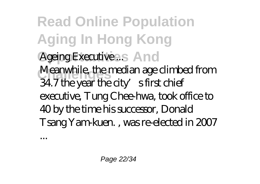**Read Online Population Aging In Hong Kong** Ageing Executive ... S And Meanwhile, the median age climbed from  $34.7$  the year the city's first chief executive, Tung Chee-hwa, took office to 40 by the time his successor, Donald Tsang Yam-kuen. , was re-elected in 2007

...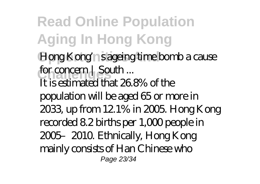**Read Online Population Aging In Hong Kong** Hong Kong'n sageing time bomb a cause for concern | South ... It is estimated that 26.8% of the population will be aged 65 or more in 2033, up from 12.1% in 2005. Hong Kong recorded 8.2 births per 1,000 people in 2005–2010. Ethnically, Hong Kong mainly consists of Han Chinese who Page 23/34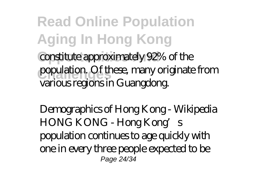**Read Online Population Aging In Hong Kong** constitute approximately 92% of the population. Of these, many originate from various regions in Guangdong.

Demographics of Hong Kong - Wikipedia HONG KONG - Hong Kong's population continues to age quickly with one in every three people expected to be Page 24/34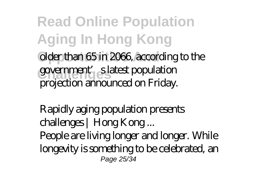**Read Online Population Aging In Hong Kong Older than 65 in 2066, according to the** government'<sub>s</sub> eslatest population projection announced on Friday.

Rapidly aging population presents challenges | Hong Kong ... People are living longer and longer. While longevity is something to be celebrated, an Page 25/34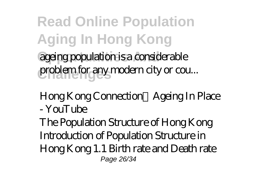**Read Online Population Aging In Hong Kong** ageing population is a considerable problem for any modern city or cou...

Hong Kong Connection:Ageing In Place - YouTube

The Population Structure of Hong Kong Introduction of Population Structure in Hong Kong 1.1 Birth rate and Death rate Page 26/34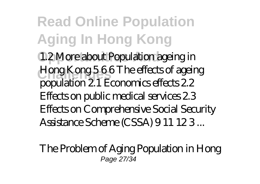**Read Online Population Aging In Hong Kong** 1.2 More about Population ageing in **Challenges** Hong Kong 5 6 6 The effects of ageing population 2.1 Economics effects 2.2 Effects on public medical services 2.3 Effects on Comprehensive Social Security Assistance Scheme (CSSA) 9 11 12 3 ...

The Problem of Aging Population in Hong Page 27/34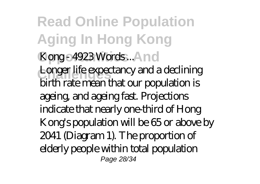**Read Online Population Aging In Hong Kong** Kong - 4923 Words ... And Longer life expectancy and a declining birth rate mean that our population is ageing, and ageing fast. Projections indicate that nearly one-third of Hong Kong's population will be 65 or above by 2041 (Diagram 1). The proportion of elderly people within total population Page 28/34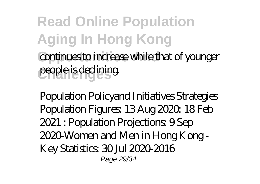**Read Online Population Aging In Hong Kong Continues to increase while that of younger** people is declining.

Population Policyand Initiatives Strategies Population Figures: 13 Aug 2020, 18 Feb 2021 : Population Projections: 9 Sep 2020-Women and Men in Hong Kong - Key Statistics: 30 Jul 2020-2016 Page 29/34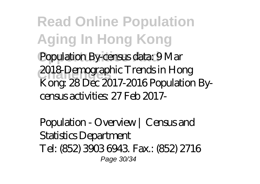**Read Online Population Aging In Hong Kong** Population By-census data: 9 Mar **Challenges** 2018-Demographic Trends in Hong Kong: 28 Dec 2017-2016 Population Bycensus activities: 27 Feb 2017-

Population - Overview | Census and Statistics Department Tel: (852) 3903 6943. Fax.: (852) 2716 Page 30/34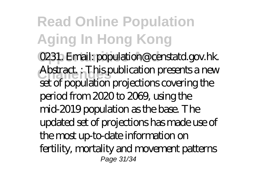**Read Online Population Aging In Hong Kong O231. Email: population@censtatd.gov.hk. Challenges** Abstract. : This publication presents a new set of population projections covering the period from 2020 to 2069, using the mid-2019 population as the base. The updated set of projections has made use of the most up-to-date information on fertility, mortality and movement patterns Page 31/34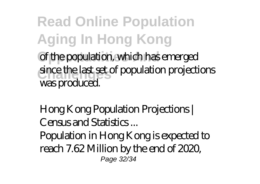**Read Online Population Aging In Hong Kong** of the population, which has emerged since the last set of population projections was produced.

Hong Kong Population Projections | Census and Statistics...

Population in Hong Kong is expected to reach 7.62 Million by the end of 2020, Page 32/34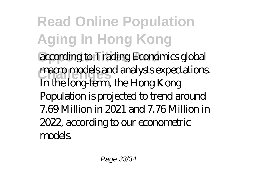**Read Online Population Aging In Hong Kong** according to Trading Economics global macro models and analysts expectations. In the long-term, the Hong Kong Population is projected to trend around 7.69 Million in 2021 and 7.76 Million in 2022, according to our econometric models.